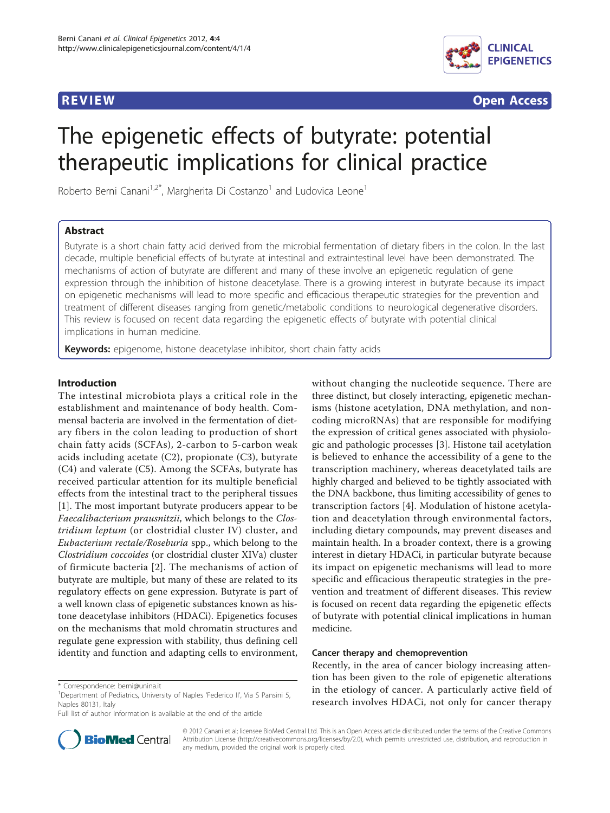

**REVIEW CONSTRUCTION CONSTRUCTION CONSTRUCTS** 

# The epigenetic effects of butyrate: potential therapeutic implications for clinical practice

Roberto Berni Canani<sup>1,2\*</sup>, Margherita Di Costanzo<sup>1</sup> and Ludovica Leone<sup>1</sup>

# Abstract

Butyrate is a short chain fatty acid derived from the microbial fermentation of dietary fibers in the colon. In the last decade, multiple beneficial effects of butyrate at intestinal and extraintestinal level have been demonstrated. The mechanisms of action of butyrate are different and many of these involve an epigenetic regulation of gene expression through the inhibition of histone deacetylase. There is a growing interest in butyrate because its impact on epigenetic mechanisms will lead to more specific and efficacious therapeutic strategies for the prevention and treatment of different diseases ranging from genetic/metabolic conditions to neurological degenerative disorders. This review is focused on recent data regarding the epigenetic effects of butyrate with potential clinical implications in human medicine.

Keywords: epigenome, histone deacetylase inhibitor, short chain fatty acids

## Introduction

The intestinal microbiota plays a critical role in the establishment and maintenance of body health. Commensal bacteria are involved in the fermentation of dietary fibers in the colon leading to production of short chain fatty acids (SCFAs), 2-carbon to 5-carbon weak acids including acetate (C2), propionate (C3), butyrate (C4) and valerate (C5). Among the SCFAs, butyrate has received particular attention for its multiple beneficial effects from the intestinal tract to the peripheral tissues [[1\]](#page-4-0). The most important butyrate producers appear to be Faecalibacterium prausnitzii, which belongs to the Clostridium leptum (or clostridial cluster IV) cluster, and Eubacterium rectale/Roseburia spp., which belong to the Clostridium coccoides (or clostridial cluster XIVa) cluster of firmicute bacteria [[2](#page-4-0)]. The mechanisms of action of butyrate are multiple, but many of these are related to its regulatory effects on gene expression. Butyrate is part of a well known class of epigenetic substances known as histone deacetylase inhibitors (HDACi). Epigenetics focuses on the mechanisms that mold chromatin structures and regulate gene expression with stability, thus defining cell identity and function and adapting cells to environment,



#### Cancer therapy and chemoprevention

Recently, in the area of cancer biology increasing attention has been given to the role of epigenetic alterations in the etiology of cancer. A particularly active field of research involves HDACi, not only for cancer therapy



© 2012 Canani et al; licensee BioMed Central Ltd. This is an Open Access article distributed under the terms of the Creative Commons Attribution License [\(http://creativecommons.org/licenses/by/2.0](http://creativecommons.org/licenses/by/2.0)), which permits unrestricted use, distribution, and reproduction in any medium, provided the original work is properly cited.

<sup>\*</sup> Correspondence: [berni@unina.it](mailto:berni@unina.it)

<sup>&</sup>lt;sup>1</sup>Department of Pediatrics, University of Naples 'Federico II', Via S Pansini 5, Naples 80131, Italy

Full list of author information is available at the end of the article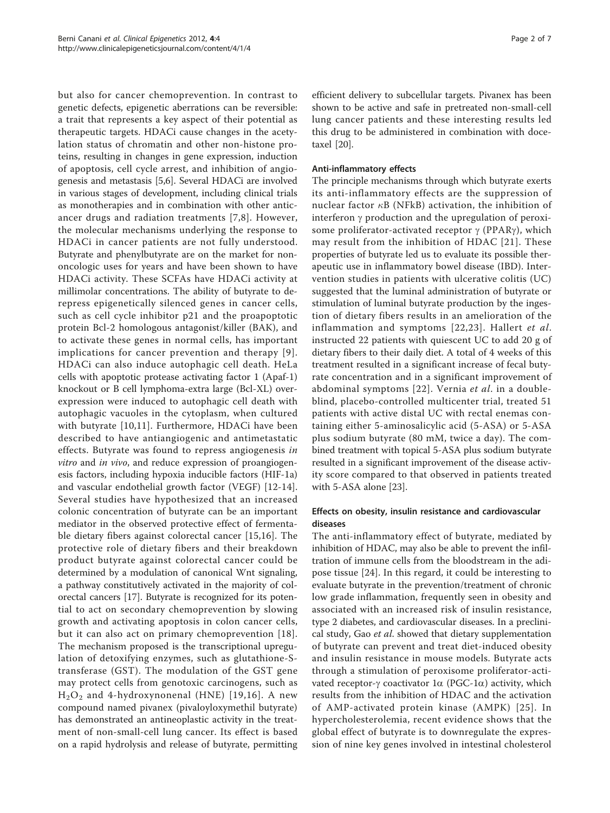but also for cancer chemoprevention. In contrast to genetic defects, epigenetic aberrations can be reversible: a trait that represents a key aspect of their potential as therapeutic targets. HDACi cause changes in the acetylation status of chromatin and other non-histone proteins, resulting in changes in gene expression, induction of apoptosis, cell cycle arrest, and inhibition of angiogenesis and metastasis [[5,6\]](#page-4-0). Several HDACi are involved in various stages of development, including clinical trials as monotherapies and in combination with other anticancer drugs and radiation treatments [[7,](#page-4-0)[8](#page-5-0)]. However, the molecular mechanisms underlying the response to HDACi in cancer patients are not fully understood. Butyrate and phenylbutyrate are on the market for nononcologic uses for years and have been shown to have HDACi activity. These SCFAs have HDACi activity at millimolar concentrations. The ability of butyrate to derepress epigenetically silenced genes in cancer cells, such as cell cycle inhibitor p21 and the proapoptotic protein Bcl-2 homologous antagonist/killer (BAK), and to activate these genes in normal cells, has important implications for cancer prevention and therapy [[9\]](#page-5-0). HDACi can also induce autophagic cell death. HeLa cells with apoptotic protease activating factor 1 (Apaf-1) knockout or B cell lymphoma-extra large (Bcl-XL) overexpression were induced to autophagic cell death with autophagic vacuoles in the cytoplasm, when cultured with butyrate [[10,11](#page-5-0)]. Furthermore, HDACi have been described to have antiangiogenic and antimetastatic effects. Butyrate was found to repress angiogenesis in vitro and in vivo, and reduce expression of proangiogenesis factors, including hypoxia inducible factors (HIF-1a) and vascular endothelial growth factor (VEGF) [\[12](#page-5-0)-[14](#page-5-0)]. Several studies have hypothesized that an increased colonic concentration of butyrate can be an important mediator in the observed protective effect of fermentable dietary fibers against colorectal cancer [[15,16](#page-5-0)]. The protective role of dietary fibers and their breakdown product butyrate against colorectal cancer could be determined by a modulation of canonical Wnt signaling, a pathway constitutively activated in the majority of colorectal cancers [\[17\]](#page-5-0). Butyrate is recognized for its potential to act on secondary chemoprevention by slowing growth and activating apoptosis in colon cancer cells, but it can also act on primary chemoprevention [[18\]](#page-5-0). The mechanism proposed is the transcriptional upregulation of detoxifying enzymes, such as glutathione-Stransferase (GST). The modulation of the GST gene may protect cells from genotoxic carcinogens, such as  $H<sub>2</sub>O<sub>2</sub>$  and 4-hydroxynonenal (HNE) [[19](#page-5-0),[16\]](#page-5-0). A new compound named pivanex (pivaloyloxymethil butyrate) has demonstrated an antineoplastic activity in the treatment of non-small-cell lung cancer. Its effect is based on a rapid hydrolysis and release of butyrate, permitting

efficient delivery to subcellular targets. Pivanex has been shown to be active and safe in pretreated non-small-cell lung cancer patients and these interesting results led this drug to be administered in combination with docetaxel [\[20](#page-5-0)].

# Anti-inflammatory effects

The principle mechanisms through which butyrate exerts its anti-inflammatory effects are the suppression of nuclear factor  $\kappa$ B (NFkB) activation, the inhibition of interferon  $\gamma$  production and the upregulation of peroxisome proliferator-activated receptor  $\gamma$  (PPAR $\gamma$ ), which may result from the inhibition of HDAC [[21](#page-5-0)]. These properties of butyrate led us to evaluate its possible therapeutic use in inflammatory bowel disease (IBD). Intervention studies in patients with ulcerative colitis (UC) suggested that the luminal administration of butyrate or stimulation of luminal butyrate production by the ingestion of dietary fibers results in an amelioration of the inflammation and symptoms [[22,23](#page-5-0)]. Hallert et al. instructed 22 patients with quiescent UC to add 20 g of dietary fibers to their daily diet. A total of 4 weeks of this treatment resulted in a significant increase of fecal butyrate concentration and in a significant improvement of abdominal symptoms [[22](#page-5-0)]. Vernia et al. in a doubleblind, placebo-controlled multicenter trial, treated 51 patients with active distal UC with rectal enemas containing either 5-aminosalicylic acid (5-ASA) or 5-ASA plus sodium butyrate (80 mM, twice a day). The combined treatment with topical 5-ASA plus sodium butyrate resulted in a significant improvement of the disease activity score compared to that observed in patients treated with 5-ASA alone [[23\]](#page-5-0).

# Effects on obesity, insulin resistance and cardiovascular diseases

The anti-inflammatory effect of butyrate, mediated by inhibition of HDAC, may also be able to prevent the infiltration of immune cells from the bloodstream in the adipose tissue [\[24](#page-5-0)]. In this regard, it could be interesting to evaluate butyrate in the prevention/treatment of chronic low grade inflammation, frequently seen in obesity and associated with an increased risk of insulin resistance, type 2 diabetes, and cardiovascular diseases. In a preclinical study, Gao et al. showed that dietary supplementation of butyrate can prevent and treat diet-induced obesity and insulin resistance in mouse models. Butyrate acts through a stimulation of peroxisome proliferator-activated receptor- $\gamma$  coactivator 1 $\alpha$  (PGC-1 $\alpha$ ) activity, which results from the inhibition of HDAC and the activation of AMP-activated protein kinase (AMPK) [[25](#page-5-0)]. In hypercholesterolemia, recent evidence shows that the global effect of butyrate is to downregulate the expression of nine key genes involved in intestinal cholesterol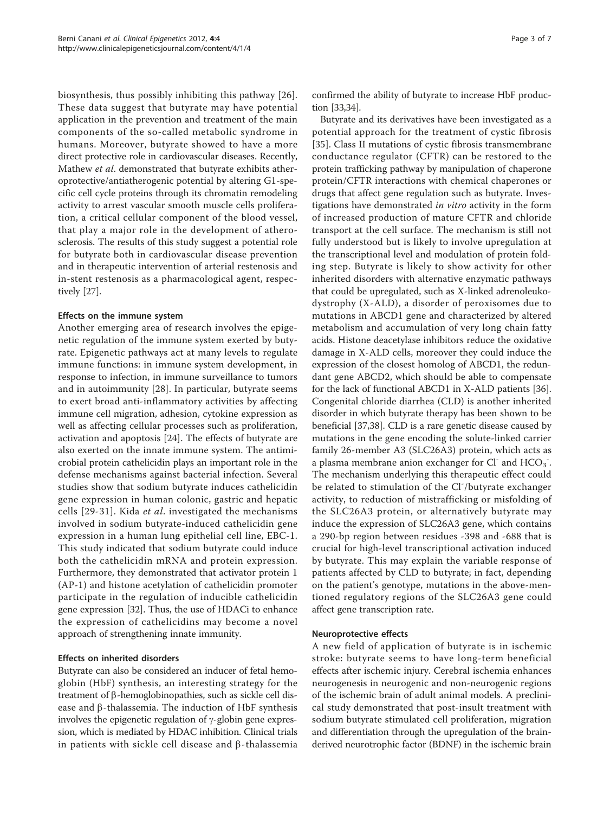biosynthesis, thus possibly inhibiting this pathway [[26](#page-5-0)]. These data suggest that butyrate may have potential application in the prevention and treatment of the main components of the so-called metabolic syndrome in humans. Moreover, butyrate showed to have a more direct protective role in cardiovascular diseases. Recently, Mathew et al. demonstrated that butyrate exhibits atheroprotective/antiatherogenic potential by altering G1-specific cell cycle proteins through its chromatin remodeling activity to arrest vascular smooth muscle cells proliferation, a critical cellular component of the blood vessel, that play a major role in the development of atherosclerosis. The results of this study suggest a potential role for butyrate both in cardiovascular disease prevention and in therapeutic intervention of arterial restenosis and in-stent restenosis as a pharmacological agent, respectively [\[27\]](#page-5-0).

# Effects on the immune system

Another emerging area of research involves the epigenetic regulation of the immune system exerted by butyrate. Epigenetic pathways act at many levels to regulate immune functions: in immune system development, in response to infection, in immune surveillance to tumors and in autoimmunity [[28\]](#page-5-0). In particular, butyrate seems to exert broad anti-inflammatory activities by affecting immune cell migration, adhesion, cytokine expression as well as affecting cellular processes such as proliferation, activation and apoptosis [\[24](#page-5-0)]. The effects of butyrate are also exerted on the innate immune system. The antimicrobial protein cathelicidin plays an important role in the defense mechanisms against bacterial infection. Several studies show that sodium butyrate induces cathelicidin gene expression in human colonic, gastric and hepatic cells [[29](#page-5-0)-[31](#page-5-0)]. Kida et al. investigated the mechanisms involved in sodium butyrate-induced cathelicidin gene expression in a human lung epithelial cell line, EBC-1. This study indicated that sodium butyrate could induce both the cathelicidin mRNA and protein expression. Furthermore, they demonstrated that activator protein 1 (AP-1) and histone acetylation of cathelicidin promoter participate in the regulation of inducible cathelicidin gene expression [[32\]](#page-5-0). Thus, the use of HDACi to enhance the expression of cathelicidins may become a novel approach of strengthening innate immunity.

# Effects on inherited disorders

Butyrate can also be considered an inducer of fetal hemoglobin (HbF) synthesis, an interesting strategy for the treatment of  $\beta$ -hemoglobinopathies, such as sickle cell disease and  $\beta$ -thalassemia. The induction of HbF synthesis involves the epigenetic regulation of  $\gamma$ -globin gene expression, which is mediated by HDAC inhibition. Clinical trials in patients with sickle cell disease and  $\beta$ -thalassemia confirmed the ability of butyrate to increase HbF production [\[33,34](#page-5-0)].

Butyrate and its derivatives have been investigated as a potential approach for the treatment of cystic fibrosis [[35\]](#page-5-0). Class II mutations of cystic fibrosis transmembrane conductance regulator (CFTR) can be restored to the protein trafficking pathway by manipulation of chaperone protein/CFTR interactions with chemical chaperones or drugs that affect gene regulation such as butyrate. Investigations have demonstrated in vitro activity in the form of increased production of mature CFTR and chloride transport at the cell surface. The mechanism is still not fully understood but is likely to involve upregulation at the transcriptional level and modulation of protein folding step. Butyrate is likely to show activity for other inherited disorders with alternative enzymatic pathways that could be upregulated, such as X-linked adrenoleukodystrophy (X-ALD), a disorder of peroxisomes due to mutations in ABCD1 gene and characterized by altered metabolism and accumulation of very long chain fatty acids. Histone deacetylase inhibitors reduce the oxidative damage in X-ALD cells, moreover they could induce the expression of the closest homolog of ABCD1, the redundant gene ABCD2, which should be able to compensate for the lack of functional ABCD1 in X-ALD patients [[36](#page-5-0)]. Congenital chloride diarrhea (CLD) is another inherited disorder in which butyrate therapy has been shown to be beneficial [\[37,38\]](#page-5-0). CLD is a rare genetic disease caused by mutations in the gene encoding the solute-linked carrier family 26-member A3 (SLC26A3) protein, which acts as a plasma membrane anion exchanger for Cl<sup>-</sup> and  $\text{HCO}_3$ . The mechanism underlying this therapeutic effect could be related to stimulation of the Cl<sup>-</sup>/butyrate exchanger activity, to reduction of mistrafficking or misfolding of the SLC26A3 protein, or alternatively butyrate may induce the expression of SLC26A3 gene, which contains a 290-bp region between residues -398 and -688 that is crucial for high-level transcriptional activation induced by butyrate. This may explain the variable response of patients affected by CLD to butyrate; in fact, depending on the patient's genotype, mutations in the above-mentioned regulatory regions of the SLC26A3 gene could affect gene transcription rate.

#### Neuroprotective effects

A new field of application of butyrate is in ischemic stroke: butyrate seems to have long-term beneficial effects after ischemic injury. Cerebral ischemia enhances neurogenesis in neurogenic and non-neurogenic regions of the ischemic brain of adult animal models. A preclinical study demonstrated that post-insult treatment with sodium butyrate stimulated cell proliferation, migration and differentiation through the upregulation of the brainderived neurotrophic factor (BDNF) in the ischemic brain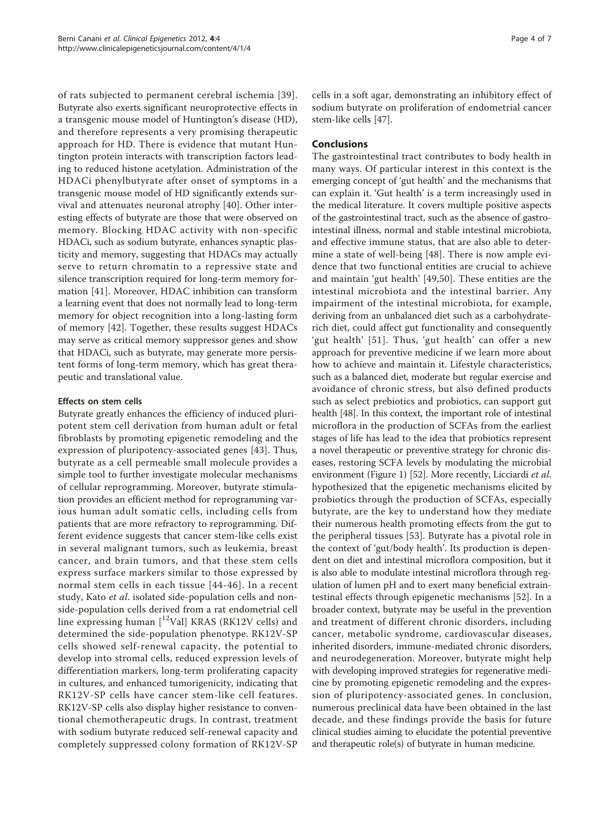of rats subjected to permanent cerebral ischemia [[39\]](#page-5-0). Butyrate also exerts significant neuroprotective effects in a transgenic mouse model of Huntington's disease (HD), and therefore represents a very promising therapeutic approach for HD. There is evidence that mutant Huntington protein interacts with transcription factors leading to reduced histone acetylation. Administration of the HDACi phenylbutyrate after onset of symptoms in a transgenic mouse model of HD significantly extends survival and attenuates neuronal atrophy [[40](#page-5-0)]. Other interesting effects of butyrate are those that were observed on memory. Blocking HDAC activity with non-specific HDACi, such as sodium butyrate, enhances synaptic plasticity and memory, suggesting that HDACs may actually serve to return chromatin to a repressive state and silence transcription required for long-term memory formation [\[41](#page-5-0)]. Moreover, HDAC inhibition can transform a learning event that does not normally lead to long-term memory for object recognition into a long-lasting form of memory [\[42](#page-5-0)]. Together, these results suggest HDACs may serve as critical memory suppressor genes and show that HDACi, such as butyrate, may generate more persistent forms of long-term memory, which has great therapeutic and translational value.

# Effects on stem cells

Butyrate greatly enhances the efficiency of induced pluripotent stem cell derivation from human adult or fetal fibroblasts by promoting epigenetic remodeling and the expression of pluripotency-associated genes [[43](#page-5-0)]. Thus, butyrate as a cell permeable small molecule provides a simple tool to further investigate molecular mechanisms of cellular reprogramming. Moreover, butyrate stimulation provides an efficient method for reprogramming various human adult somatic cells, including cells from patients that are more refractory to reprogramming. Different evidence suggests that cancer stem-like cells exist in several malignant tumors, such as leukemia, breast cancer, and brain tumors, and that these stem cells express surface markers similar to those expressed by normal stem cells in each tissue [[44](#page-5-0)-[46\]](#page-5-0). In a recent study, Kato et al. isolated side-population cells and nonside-population cells derived from a rat endometrial cell line expressing human  $[12$ Val] KRAS (RK12V cells) and determined the side-population phenotype. RK12V-SP cells showed self-renewal capacity, the potential to develop into stromal cells, reduced expression levels of differentiation markers, long-term proliferating capacity in cultures, and enhanced tumorigenicity, indicating that RK12V-SP cells have cancer stem-like cell features. RK12V-SP cells also display higher resistance to conventional chemotherapeutic drugs. In contrast, treatment with sodium butyrate reduced self-renewal capacity and completely suppressed colony formation of RK12V-SP cells in a soft agar, demonstrating an inhibitory effect of sodium butyrate on proliferation of endometrial cancer stem-like cells [\[47](#page-5-0)].

# Conclusions

The gastrointestinal tract contributes to body health in many ways. Of particular interest in this context is the emerging concept of 'gut health' and the mechanisms that can explain it. 'Gut health' is a term increasingly used in the medical literature. It covers multiple positive aspects of the gastrointestinal tract, such as the absence of gastrointestinal illness, normal and stable intestinal microbiota, and effective immune status, that are also able to determine a state of well-being [[48\]](#page-5-0). There is now ample evidence that two functional entities are crucial to achieve and maintain 'gut health' [[49,50](#page-6-0)]. These entities are the intestinal microbiota and the intestinal barrier. Any impairment of the intestinal microbiota, for example, deriving from an unbalanced diet such as a carbohydraterich diet, could affect gut functionality and consequently 'gut health' [[51\]](#page-6-0). Thus, 'gut health' can offer a new approach for preventive medicine if we learn more about how to achieve and maintain it. Lifestyle characteristics, such as a balanced diet, moderate but regular exercise and avoidance of chronic stress, but also defined products such as select prebiotics and probiotics, can support gut health [\[48\]](#page-5-0). In this context, the important role of intestinal microflora in the production of SCFAs from the earliest stages of life has lead to the idea that probiotics represent a novel therapeutic or preventive strategy for chronic diseases, restoring SCFA levels by modulating the microbial environment (Figure [1](#page-4-0)) [\[52\]](#page-6-0). More recently, Licciardi et al. hypothesized that the epigenetic mechanisms elicited by probiotics through the production of SCFAs, especially butyrate, are the key to understand how they mediate their numerous health promoting effects from the gut to the peripheral tissues [[53\]](#page-6-0). Butyrate has a pivotal role in the context of 'gut/body health'. Its production is dependent on diet and intestinal microflora composition, but it is also able to modulate intestinal microflora through regulation of lumen pH and to exert many beneficial extraintestinal effects through epigenetic mechanisms [\[52](#page-6-0)]. In a broader context, butyrate may be useful in the prevention and treatment of different chronic disorders, including cancer, metabolic syndrome, cardiovascular diseases, inherited disorders, immune-mediated chronic disorders, and neurodegeneration. Moreover, butyrate might help with developing improved strategies for regenerative medicine by promoting epigenetic remodeling and the expression of pluripotency-associated genes. In conclusion, numerous preclinical data have been obtained in the last decade, and these findings provide the basis for future clinical studies aiming to elucidate the potential preventive and therapeutic role(s) of butyrate in human medicine.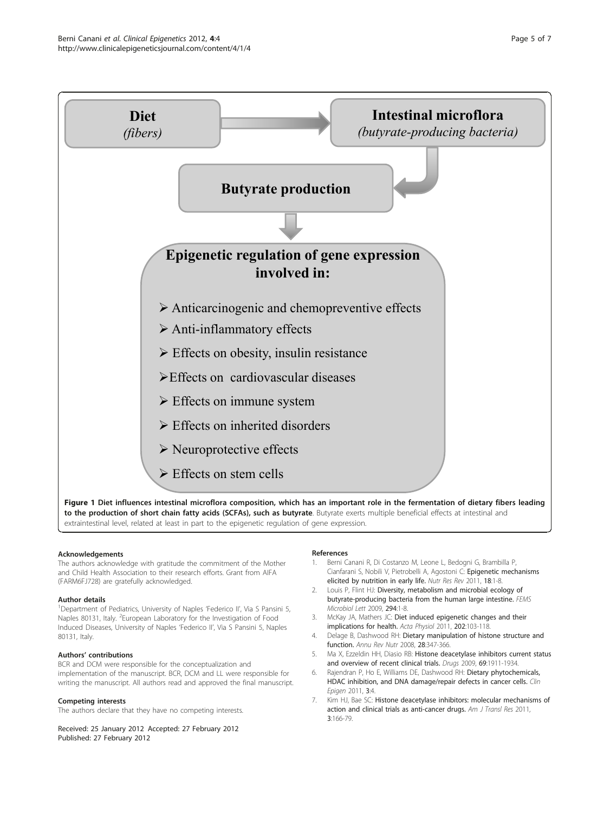<span id="page-4-0"></span>

extraintestinal level, related at least in part to the epigenetic regulation of gene expression.

#### Acknowledgements

The authors acknowledge with gratitude the commitment of the Mother and Child Health Association to their research efforts. Grant from AIFA (FARM6FJ728) are gratefully acknowledged.

#### Author details

<sup>1</sup>Department of Pediatrics, University of Naples 'Federico II', Via S Pansini 5, Naples 80131, Italy. <sup>2</sup>European Laboratory for the Investigation of Food Induced Diseases, University of Naples 'Federico II', Via S Pansini 5, Naples 80131, Italy.

#### Authors' contributions

BCR and DCM were responsible for the conceptualization and implementation of the manuscript. BCR, DCM and LL were responsible for writing the manuscript. All authors read and approved the final manuscript.

#### Competing interests

The authors declare that they have no competing interests.

Received: 25 January 2012 Accepted: 27 February 2012

Published: 27 February 2012

#### References

- 1. Berni Canani R, Di Costanzo M, Leone L, Bedogni G, Brambilla P, Cianfarani S, Nobili V, Pietrobelli A, Agostoni C: Epigenetic mechanisms elicited by nutrition in early life. Nutr Res Rev 2011, 18:1-8.
- 2. Louis P, Flint HJ: [Diversity, metabolism and microbial ecology of](http://www.ncbi.nlm.nih.gov/pubmed/19222573?dopt=Abstract) [butyrate-producing bacteria from the human large intestine.](http://www.ncbi.nlm.nih.gov/pubmed/19222573?dopt=Abstract) FEMS Microbiol Lett 2009, 294:1-8.
- 3. McKay JA, Mathers JC: Diet induced epigenetic changes and their implications for health. Acta Physiol 2011, 202:103-118.
- 4. Delage B, Dashwood RH: [Dietary manipulation of histone structure and](http://www.ncbi.nlm.nih.gov/pubmed/18598138?dopt=Abstract) [function.](http://www.ncbi.nlm.nih.gov/pubmed/18598138?dopt=Abstract) Annu Rev Nutr 2008, 28:347-366.
- 5. Ma X, Ezzeldin HH, Diasio RB: [Histone deacetylase inhibitors current status](http://www.ncbi.nlm.nih.gov/pubmed/19747008?dopt=Abstract) [and overview of recent clinical trials.](http://www.ncbi.nlm.nih.gov/pubmed/19747008?dopt=Abstract) Drugs 2009, 69:1911-1934.
- 6. Rajendran P, Ho E, Williams DE, Dashwood RH: Dietary phytochemicals, HDAC inhibition, and DNA damage/repair defects in cancer cells. Clin Epigen 2011, 3:4.
- 7. Kim HJ, Bae SC: [Histone deacetylase inhibitors: molecular mechanisms of](http://www.ncbi.nlm.nih.gov/pubmed/21416059?dopt=Abstract) [action and clinical trials as anti-cancer drugs.](http://www.ncbi.nlm.nih.gov/pubmed/21416059?dopt=Abstract) Am J Transl Res 2011, 3:166-79.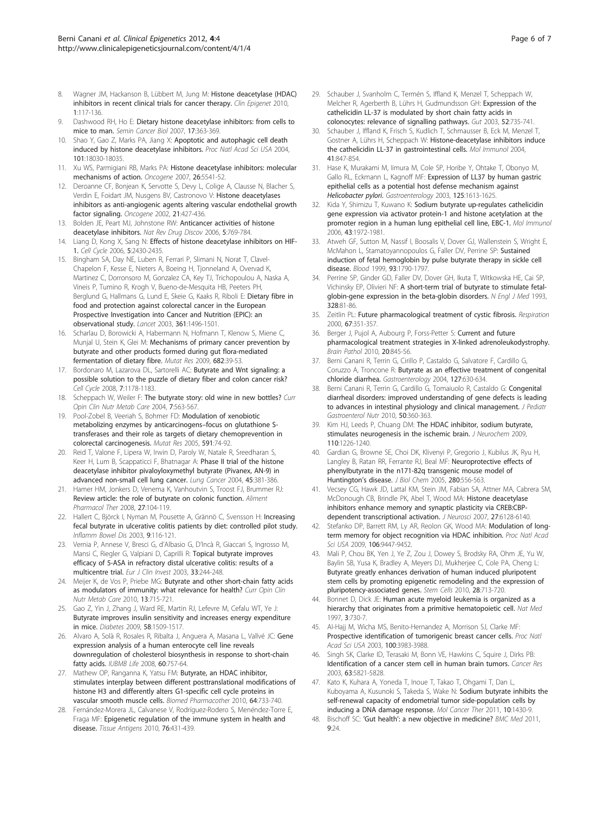- <span id="page-5-0"></span>8. Wagner JM, Hackanson B, Lübbert M, Jung M: Histone deacetylase (HDAC) inhibitors in recent clinical trials for cancer therapy. Clin Epigenet 2010, 1:117-136.
- 9. Dashwood RH, Ho E: [Dietary histone deacetylase inhibitors: from cells to](http://www.ncbi.nlm.nih.gov/pubmed/17555985?dopt=Abstract) [mice to man.](http://www.ncbi.nlm.nih.gov/pubmed/17555985?dopt=Abstract) Semin Cancer Biol 2007, 17:363-369.
- 10. Shao Y, Gao Z, Marks PA, Jiang X: [Apoptotic and autophagic cell death](http://www.ncbi.nlm.nih.gov/pubmed/15596714?dopt=Abstract) [induced by histone deacetylase inhibitors.](http://www.ncbi.nlm.nih.gov/pubmed/15596714?dopt=Abstract) Proc Natl Acad Sci USA 2004, 101:18030-18035.
- 11. Xu WS, Parmigiani RB, Marks PA: [Histone deacetylase inhibitors: molecular](http://www.ncbi.nlm.nih.gov/pubmed/17694093?dopt=Abstract) [mechanisms of action.](http://www.ncbi.nlm.nih.gov/pubmed/17694093?dopt=Abstract) Oncogene 2007, 26:5541-52.
- 12. Deroanne CF, Bonjean K, Servotte S, Devy L, Colige A, Clausse N, Blacher S, Verdin E, Foidart JM, Nusgens BV, Castronovo V: [Histone deacetylases](http://www.ncbi.nlm.nih.gov/pubmed/11821955?dopt=Abstract) [inhibitors as anti-angiogenic agents altering vascular endothelial growth](http://www.ncbi.nlm.nih.gov/pubmed/11821955?dopt=Abstract) [factor signaling.](http://www.ncbi.nlm.nih.gov/pubmed/11821955?dopt=Abstract) Oncogene 2002, 21:427-436.
- 13. Bolden JE, Peart MJ, Johnstone RW: [Anticancer activities of histone](http://www.ncbi.nlm.nih.gov/pubmed/16955068?dopt=Abstract) [deacetylase inhibitors.](http://www.ncbi.nlm.nih.gov/pubmed/16955068?dopt=Abstract) Nat Rev Drug Discov 2006, 5:769-784.
- 14. Liang D, Kong X, Sang N: [Effects of histone deacetylase inhibitors on HIF-](http://www.ncbi.nlm.nih.gov/pubmed/17102633?dopt=Abstract)[1.](http://www.ncbi.nlm.nih.gov/pubmed/17102633?dopt=Abstract) Cell Cycle 2006, 5:2430-2435.
- 15. Bingham SA, Day NE, Luben R, Ferrari P, Slimani N, Norat T, Clavel-Chapelon F, Kesse E, Nieters A, Boeing H, Tjonneland A, Overvad K, Martinez C, Dorronsoro M, Gonzalez CA, Key TJ, Trichopoulou A, Naska A, Vineis P, Tumino R, Krogh V, Bueno-de-Mesquita HB, Peeters PH, Berglund G, Hallmans G, Lund E, Skeie G, Kaaks R, Riboli E: [Dietary fibre in](http://www.ncbi.nlm.nih.gov/pubmed/12737858?dopt=Abstract) [food and protection against colorectal cancer in the European](http://www.ncbi.nlm.nih.gov/pubmed/12737858?dopt=Abstract) [Prospective Investigation into Cancer and Nutrition \(EPIC\): an](http://www.ncbi.nlm.nih.gov/pubmed/12737858?dopt=Abstract) [observational study.](http://www.ncbi.nlm.nih.gov/pubmed/12737858?dopt=Abstract) Lancet 2003, 361:1496-1501.
- 16. Scharlau D, Borowicki A, Habermann N, Hofmann T, Klenow S, Miene C, Munjal U, Stein K, Glei M: [Mechanisms of primary cancer prevention by](http://www.ncbi.nlm.nih.gov/pubmed/19383551?dopt=Abstract) [butyrate and other products formed during gut flora-mediated](http://www.ncbi.nlm.nih.gov/pubmed/19383551?dopt=Abstract) [fermentation of dietary fibre.](http://www.ncbi.nlm.nih.gov/pubmed/19383551?dopt=Abstract) Mutat Res 2009, 682:39-53.
- 17. Bordonaro M, Lazarova DL, Sartorelli AC: [Butyrate and Wnt signaling: a](http://www.ncbi.nlm.nih.gov/pubmed/18418037?dopt=Abstract) [possible solution to the puzzle of dietary fiber and colon cancer risk?](http://www.ncbi.nlm.nih.gov/pubmed/18418037?dopt=Abstract) Cell Cycle 2008, 7:1178-1183.
- 18. Scheppach W, Weiler F: [The butyrate story: old wine in new bottles?](http://www.ncbi.nlm.nih.gov/pubmed/15295277?dopt=Abstract) Curr Opin Clin Nutr Metab Care 2004, 7:563-567.
- 19. Pool-Zobel B, Veeriah S, Bohmer FD: [Modulation of xenobiotic](http://www.ncbi.nlm.nih.gov/pubmed/16083918?dopt=Abstract) [metabolizing enzymes by anticarcinogens](http://www.ncbi.nlm.nih.gov/pubmed/16083918?dopt=Abstract)–focus on glutathione S[transferases and their role as targets of dietary chemoprevention in](http://www.ncbi.nlm.nih.gov/pubmed/16083918?dopt=Abstract) [colorectal carcinogenesis.](http://www.ncbi.nlm.nih.gov/pubmed/16083918?dopt=Abstract) Mutat Res 2005, 591:74-92.
- 20. Reid T, Valone F, Lipera W, Irwin D, Paroly W, Natale R, Sreedharan S, Keer H, Lum B, Scappaticci F, Bhatnagar A: [Phase II trial of the histone](http://www.ncbi.nlm.nih.gov/pubmed/15301879?dopt=Abstract) [deacetylase inhibitor pivaloyloxymethyl butyrate \(Pivanex, AN-9\) in](http://www.ncbi.nlm.nih.gov/pubmed/15301879?dopt=Abstract) [advanced non-small cell lung cancer.](http://www.ncbi.nlm.nih.gov/pubmed/15301879?dopt=Abstract) Lung Cancer 2004, 45:381-386.
- 21. Hamer HM, Jonkers D, Venema K, Vanhoutvin S, Troost FJ, Brummer RJ: [Review article: the role of butyrate on colonic function.](http://www.ncbi.nlm.nih.gov/pubmed/17973645?dopt=Abstract) Aliment Pharmacol Ther 2008, 27:104-119.
- 22. Hallert C, Björck I, Nyman M, Pousette A, Grännö C, Svensson H: [Increasing](http://www.ncbi.nlm.nih.gov/pubmed/12769445?dopt=Abstract) [fecal butyrate in ulcerative colitis patients by diet: controlled pilot study.](http://www.ncbi.nlm.nih.gov/pubmed/12769445?dopt=Abstract) Inflamm Bowel Dis 2003, 9:116-121.
- 23. Vernia P, Annese V, Bresci G, d'Albasio G, D'Incà R, Giaccari S, Ingrosso M, Mansi C, Riegler G, Valpiani D, Caprilli R: [Topical butyrate improves](http://www.ncbi.nlm.nih.gov/pubmed/12641543?dopt=Abstract) [efficacy of 5-ASA in refractory distal ulcerative colitis: results of a](http://www.ncbi.nlm.nih.gov/pubmed/12641543?dopt=Abstract) [multicentre trial.](http://www.ncbi.nlm.nih.gov/pubmed/12641543?dopt=Abstract) Eur J Clin Invest 2003, 33:244-248.
- 24. Meijer K, de Vos P, Priebe MG: [Butyrate and other short-chain fatty acids](http://www.ncbi.nlm.nih.gov/pubmed/20823773?dopt=Abstract) [as modulators of immunity: what relevance for health?](http://www.ncbi.nlm.nih.gov/pubmed/20823773?dopt=Abstract) Curr Opin Clin Nutr Metab Care 2010, 13:715-721.
- 25. Gao Z, Yin J, Zhang J, Ward RE, Martin RJ, Lefevre M, Cefalu WT, Ye J: [Butyrate improves insulin sensitivity and increases energy expenditure](http://www.ncbi.nlm.nih.gov/pubmed/19366864?dopt=Abstract) [in mice.](http://www.ncbi.nlm.nih.gov/pubmed/19366864?dopt=Abstract) Diabetes 2009, 58:1509-1517.
- 26. Alvaro A, Solà R, Rosales R, Ribalta J, Anguera A, Masana L, Vallvé JC: [Gene](http://www.ncbi.nlm.nih.gov/pubmed/18642346?dopt=Abstract) [expression analysis of a human enterocyte cell line reveals](http://www.ncbi.nlm.nih.gov/pubmed/18642346?dopt=Abstract) [downregulation of cholesterol biosynthesis in response to short-chain](http://www.ncbi.nlm.nih.gov/pubmed/18642346?dopt=Abstract) [fatty acids.](http://www.ncbi.nlm.nih.gov/pubmed/18642346?dopt=Abstract) IUBMB Life 2008, 60:757-64.
- 27. Mathew OP, Ranganna K, Yatsu FM: [Butyrate, an HDAC inhibitor,](http://www.ncbi.nlm.nih.gov/pubmed/20970954?dopt=Abstract) [stimulates interplay between different posttranslational modifications of](http://www.ncbi.nlm.nih.gov/pubmed/20970954?dopt=Abstract) [histone H3 and differently alters G1-specific cell cycle proteins in](http://www.ncbi.nlm.nih.gov/pubmed/20970954?dopt=Abstract) [vascular smooth muscle cells.](http://www.ncbi.nlm.nih.gov/pubmed/20970954?dopt=Abstract) Biomed Pharmacother 2010, 64:733-740.
- Fernández-Morera JL, Calvanese V, Rodríguez-Rodero S, Menéndez-Torre E, Fraga MF: [Epigenetic regulation of the immune system in health and](http://www.ncbi.nlm.nih.gov/pubmed/21058938?dopt=Abstract) [disease.](http://www.ncbi.nlm.nih.gov/pubmed/21058938?dopt=Abstract) Tissue Antigens 2010, 76:431-439.
- 29. Schauber J, Svanholm C, Termén S, Iffland K, Menzel T, Scheppach W, Melcher R, Agerberth B, Lührs H, Gudmundsson GH: [Expression of the](http://www.ncbi.nlm.nih.gov/pubmed/12692061?dopt=Abstract) [cathelicidin LL-37 is modulated by short chain fatty acids in](http://www.ncbi.nlm.nih.gov/pubmed/12692061?dopt=Abstract) [colonocytes: relevance of signalling pathways.](http://www.ncbi.nlm.nih.gov/pubmed/12692061?dopt=Abstract) Gut 2003, 52:735-741.
- 30. Schauber J, Iffland K, Frisch S, Kudlich T, Schmausser B, Eck M, Menzel T, Gostner A, Lührs H, Scheppach W: [Histone-deacetylase inhibitors induce](http://www.ncbi.nlm.nih.gov/pubmed/15261456?dopt=Abstract) [the cathelicidin LL-37 in gastrointestinal cells.](http://www.ncbi.nlm.nih.gov/pubmed/15261456?dopt=Abstract) Mol Immunol 2004, 41:847-854.
- 31. Hase K, Murakami M, Iimura M, Cole SP, Horibe Y, Ohtake T, Obonyo M, Gallo RL, Eckmann L, Kagnoff MF: [Expression of LL37 by human gastric](http://www.ncbi.nlm.nih.gov/pubmed/14724813?dopt=Abstract) [epithelial cells as a potential host defense mechanism against](http://www.ncbi.nlm.nih.gov/pubmed/14724813?dopt=Abstract) [Helicobacter pylori](http://www.ncbi.nlm.nih.gov/pubmed/14724813?dopt=Abstract). Gastroenterology 2003, <sup>125</sup>:1613-1625.
- 32. Kida Y, Shimizu T, Kuwano K: [Sodium butyrate up-regulates cathelicidin](http://www.ncbi.nlm.nih.gov/pubmed/16423398?dopt=Abstract) [gene expression via activator protein-1 and histone acetylation at the](http://www.ncbi.nlm.nih.gov/pubmed/16423398?dopt=Abstract) [promoter region in a human lung epithelial cell line, EBC-1.](http://www.ncbi.nlm.nih.gov/pubmed/16423398?dopt=Abstract) Mol Immunol 2006, 43:1972-1981.
- 33. Atweh GF, Sutton M, Nassif I, Boosalis V, Dover GJ, Wallenstein S, Wright E, McMahon L, Stamatoyannopoulos G, Faller DV, Perrine SP: [Sustained](http://www.ncbi.nlm.nih.gov/pubmed/10068649?dopt=Abstract) [induction of fetal hemoglobin by pulse butyrate therapy in sickle cell](http://www.ncbi.nlm.nih.gov/pubmed/10068649?dopt=Abstract) [disease.](http://www.ncbi.nlm.nih.gov/pubmed/10068649?dopt=Abstract) Blood 1999, 93:1790-1797.
- 34. Perrine SP, Ginder GD, Faller DV, Dover GH, Ikuta T, Witkowska HE, Cai SP, Vichinsky EP, Olivieri NF: [A short-term trial of butyrate to stimulate fetal](http://www.ncbi.nlm.nih.gov/pubmed/7677966?dopt=Abstract)[globin-gene expression in the beta-globin disorders.](http://www.ncbi.nlm.nih.gov/pubmed/7677966?dopt=Abstract) N Engl J Med 1993, 328:81-86.
- 35. Zeitlin PL: [Future pharmacological treatment of cystic fibrosis.](http://www.ncbi.nlm.nih.gov/pubmed/10940786?dopt=Abstract) Respiration 2000, 67:351-357.
- 36. Berger J, Pujol A, Aubourg P, Forss-Petter S: [Current and future](http://www.ncbi.nlm.nih.gov/pubmed/20626746?dopt=Abstract) [pharmacological treatment strategies in X-linked adrenoleukodystrophy.](http://www.ncbi.nlm.nih.gov/pubmed/20626746?dopt=Abstract) Brain Pathol 2010, 20:845-56.
- 37. Berni Canani R, Terrin G, Cirillo P, Castaldo G, Salvatore F, Cardillo G, Coruzzo A, Troncone R: [Butyrate as an effective treatment of congenital](http://www.ncbi.nlm.nih.gov/pubmed/15300594?dopt=Abstract) [chloride diarrhea.](http://www.ncbi.nlm.nih.gov/pubmed/15300594?dopt=Abstract) Gastroenterology 2004, 127:630-634.
- 38. Berni Canani R, Terrin G, Cardillo G, Tomaiuolo R, Castaldo G: [Congenital](http://www.ncbi.nlm.nih.gov/pubmed/20216094?dopt=Abstract) [diarrheal disorders: improved understanding of gene defects is leading](http://www.ncbi.nlm.nih.gov/pubmed/20216094?dopt=Abstract) [to advances in intestinal physiology and clinical management.](http://www.ncbi.nlm.nih.gov/pubmed/20216094?dopt=Abstract) J Pediatr Gastroenterol Nutr 2010, 50:360-363.
- 39. Kim HJ, Leeds P, Chuang DM: [The HDAC inhibitor, sodium butyrate,](http://www.ncbi.nlm.nih.gov/pubmed/19549282?dopt=Abstract) [stimulates neurogenesis in the ischemic brain.](http://www.ncbi.nlm.nih.gov/pubmed/19549282?dopt=Abstract) J Neurochem 2009, 110:1226-1240.
- 40. Gardian G, Browne SE, Choi DK, Klivenyi P, Gregorio J, Kubilus JK, Ryu H, Langley B, Ratan RR, Ferrante RJ, Beal MF: [Neuroprotective effects of](http://www.ncbi.nlm.nih.gov/pubmed/15494404?dopt=Abstract) [phenylbutyrate in the n171-82q transgenic mouse model of](http://www.ncbi.nlm.nih.gov/pubmed/15494404?dopt=Abstract) [Huntington](http://www.ncbi.nlm.nih.gov/pubmed/15494404?dopt=Abstract)'s disease. J Biol Chem 2005, 280:556-563.
- 41. Vecsey CG, Hawk JD, Lattal KM, Stein JM, Fabian SA, Attner MA, Cabrera SM, McDonough CB, Brindle PK, Abel T, Wood MA: [Histone deacetylase](http://www.ncbi.nlm.nih.gov/pubmed/17553985?dopt=Abstract) [inhibitors enhance memory and synaptic plasticity via CREB:CBP](http://www.ncbi.nlm.nih.gov/pubmed/17553985?dopt=Abstract)[dependent transcriptional activation.](http://www.ncbi.nlm.nih.gov/pubmed/17553985?dopt=Abstract) J Neurosci 2007, 27:6128-6140.
- 42. Stefanko DP, Barrett RM, Ly AR, Reolon GK, Wood MA: [Modulation of long](http://www.ncbi.nlm.nih.gov/pubmed/19470462?dopt=Abstract)[term memory for object recognition via HDAC inhibition.](http://www.ncbi.nlm.nih.gov/pubmed/19470462?dopt=Abstract) Proc Natl Acad Sci USA 2009, 106:9447-9452.
- 43. Mali P, Chou BK, Yen J, Ye Z, Zou J, Dowey S, Brodsky RA, Ohm JE, Yu W, Baylin SB, Yusa K, Bradley A, Meyers DJ, Mukherjee C, Cole PA, Cheng L: [Butyrate greatly enhances derivation of human induced pluripotent](http://www.ncbi.nlm.nih.gov/pubmed/20201064?dopt=Abstract) [stem cells by promoting epigenetic remodeling and the expression of](http://www.ncbi.nlm.nih.gov/pubmed/20201064?dopt=Abstract) [pluripotency-associated genes.](http://www.ncbi.nlm.nih.gov/pubmed/20201064?dopt=Abstract) Stem Cells 2010, 28:713-720.
- Bonnet D, Dick JE: [Human acute myeloid leukemia is organized as a](http://www.ncbi.nlm.nih.gov/pubmed/9212098?dopt=Abstract) [hierarchy that originates from a primitive hematopoietic cell.](http://www.ncbi.nlm.nih.gov/pubmed/9212098?dopt=Abstract) Nat Med 1997, 3:730-7.
- 45. AI-Hajj M, Wicha MS, Benito-Hernandez A, Morrison SJ, Clarke MF: [Prospective identification of tumorigenic breast cancer cells.](http://www.ncbi.nlm.nih.gov/pubmed/12629218?dopt=Abstract) Proc Natl Acad Sci USA 2003, 100:3983-3988.
- 46. Singh SK, Clarke ID, Terasaki M, Bonn VE, Hawkins C, Squire J, Dirks PB: [Identification of a cancer stem cell in human brain tumors.](http://www.ncbi.nlm.nih.gov/pubmed/14522905?dopt=Abstract) Cancer Res 2003, 63:5821-5828.
- 47. Kato K, Kuhara A, Yoneda T, Inoue T, Takao T, Ohgami T, Dan L, Kuboyama A, Kusunoki S, Takeda S, Wake N: [Sodium butyrate inhibits the](http://www.ncbi.nlm.nih.gov/pubmed/21632462?dopt=Abstract) [self-renewal capacity of endometrial tumor side-population cells by](http://www.ncbi.nlm.nih.gov/pubmed/21632462?dopt=Abstract) [inducing a DNA damage response.](http://www.ncbi.nlm.nih.gov/pubmed/21632462?dopt=Abstract) Mol Cancer Ther 2011, 10:1430-9.
- 48. Bischoff SC: 'Gut health'[: a new objective in medicine?](http://www.ncbi.nlm.nih.gov/pubmed/21401922?dopt=Abstract) BMC Med 2011, 9:24.